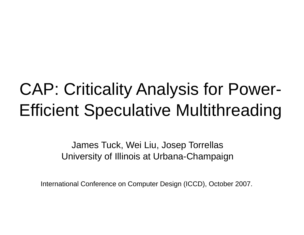### CAP: Criticality Analysis for Power Efficient Speculative Multithreading

James Tuck, Wei Liu, Josep Torrellas University of Illinois at Urbana-Champaign

International Conference on Comput er Design (ICCD), October 2007.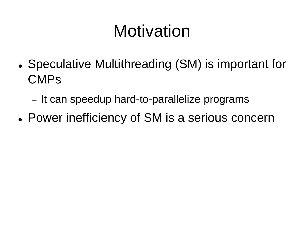# Motivation

- Speculative Multithreading (SM) is important for CMPs
	- It can speedup hard-to-parallelize programs
- Power inefficiency of SM is a serious concern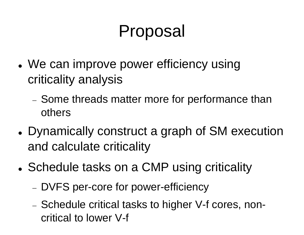### Prop posal

- We can improve power efficiency using criticality analysis
	- − Some threads matter m more for performance than others
- Dynamically construct a graph of SM execution and calculate criticality
- Schedule tasks on a CMP using criticality
	- DVFS per-core for power-efficiency
	- − Schedule critical tasks to higher V-f cores, noncritical to lower V-f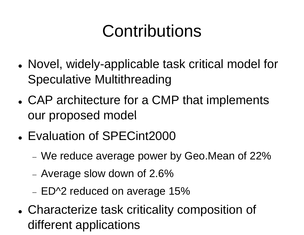# Contrib butions

- Novel, widely-applicable task critical model for Speculative Multithread ding
- CAP architecture for a CMP that implements our proposed model
- Evaluation of SPECint2000
	- $-$  We reduce average power by Geo.Mean of 22%  $\,$
	- Average slow down of 2.6%  $\,$
	- − ED^2 reduced on average 15%
- Characterize task criticality composition of different applications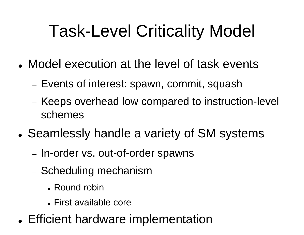# Task-Level Criticality Model

- Model execution at the level of task events
	- Events of interest: spawn, commit, squash
	- Keeps overhead low compared to instruction-level schemes
- Seamlessly handle a variety of SM systems
	- − In-order vs. out-of-order r spawns
	- Scheduling mechanism
		- Round robin
		- First available core
- Efficient hardware implementation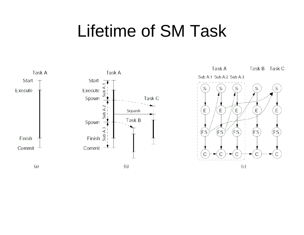#### **Lifetime of SM Task**



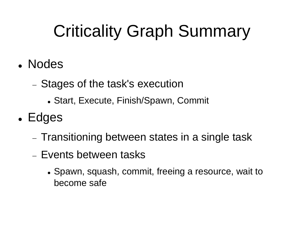# Criticality Graph Summary

- Nodes
	- Stages of the task's execution
		- Start, Execute, Finish/Spawn, Commit
- $\bullet$ • Edges
	- $\overline{-}$  Transitioning between states in a single task
	- − Events between tasks
		- Spawn, squash, commit, freeing a resource, wait to become safe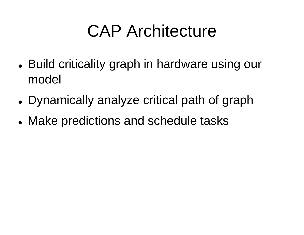### **CAP Architecture**

- $\bullet$ • Build criticality graph in hardware using our model
- Dynamically analyze critical path of graph
- Make predictions and schedule tasks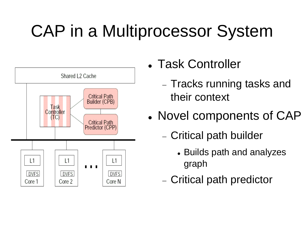# **CAP in a Multiprocessor System**



- Task Controller
	- Tracks running tasks and their context
- Novel components of CAP
	- Critical path builder
		- Builds path and analyzes graph
	- Critical path predictor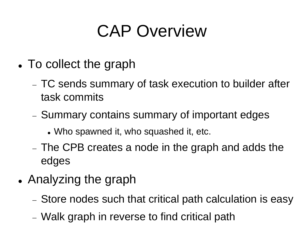# **CAP Overview**

- $\bullet$  $\bullet$  To collect the graph
	- TC sends summary of task execution to builder after task commits
	- Summary contains summary of important edges
		- Who spawned it, who squashed it, etc.
	- − The CPB creates a node in the graph and adds the edges
- $\bullet$  Analyzing the graph
	- − Store nodes such that critical path calculation is easy
	- Walk graph in reverse t o find critical path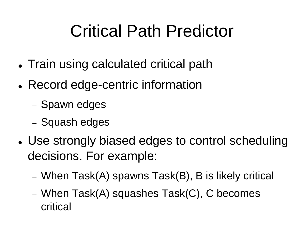# **Critical Path Predictor**

- $\bullet$ • Train using calculated critical path
- $\bullet$ • Record edge-centric information
	- Spawn edges
	- Squash edges
- $\bullet$ • Use strongly biased edges to control scheduling decisions. For example:
	- When Task(A) spawns Task(B), B is likely critical
	- When Task(A) squashes Task(C), C becomes critical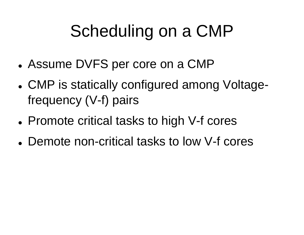# Scheduling g on <sup>a</sup> CMP

- Assume DVFS per core on a CMP
- $\bullet$ • CMP is statically configured among Voltagefrequency (V-f) pairs
- Promote critical tasks to high V-f cores
- Demote non-critical tasks to low V-f cores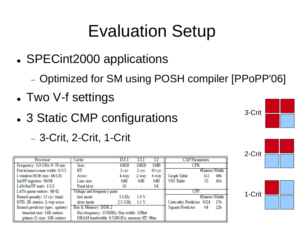### Evaluation Setup

- SPECint2000 applications
	- Optimized for SM using POSH compiler [PPoPP'06]
- $\bullet$ Two V-f settings
- $\bullet$ • 3 Static CMP configurations
	- 3-Crit, 2-Crit, 1-Crit

| Processor                        | Cache                                      | D-LI    | I-L.  |        | <b>CAP</b> Parameters      |                |     |
|----------------------------------|--------------------------------------------|---------|-------|--------|----------------------------|----------------|-----|
| Frequency: 5.0 GHz @ 70 nm       | Size:                                      | 16KB    | 16KB  | 1MB    | CPB                        |                |     |
| Fetch/issue/comm width: 6/3/3    | RT:                                        | 3 cyc   | 2 cyc | 10 cyc |                            | #Entries Width |     |
| I-window/ROB size: 68/126        | Assoc:                                     | 4-way   | 2-way | 8-way  | Graph Table                | 512            | 48b |
| Int/FP registers: 90/68          | Line size:                                 | 64B     | 64B   | 64B    | VID Table                  | 32             | 41b |
| LdSt/Int/FP units: 1/2/1         | Pend Id/st:                                | 16      |       | 64     |                            |                |     |
| Ld/St queue entries: 48/42       | Voltage and frequency pairs                |         |       |        | CPP                        |                |     |
| Branch penalty: 13 cyc (min)     | fast mode                                  | 5 GHz   | 1.6 V |        |                            | #Entries Width |     |
| BTB: 2K entries, 2-way assoc.    | slow mode                                  | 2.5 GHz | 1.1 V |        | Criticality Predictor 1024 |                | 17b |
| Branch predictor (spec. update): | Bus & Memory: DDR-2                        |         |       |        | Squash Predictor           | 64             | 22b |
| bimodal size: 16K entries        | Bus frequency: 533MHz; Bus width: 128bit   |         |       |        |                            |                |     |
| gshare-11 size: 16K entries      | DRAM bandwidth: 8.528GB/s; memory RT: 98ns |         |       |        |                            |                |     |



| 2-Crit |  |
|--------|--|
|        |  |

| rit |  |
|-----|--|
|     |  |

 $1-C$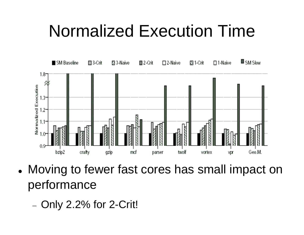### **Normalized Execution Time**



- Moving to fewer fast cores has small impact on  $\bullet$ performance
	- Only 2.2% for 2-Crit!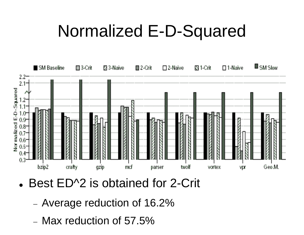### Normalized E E-D-Squared



- $\bullet$ • Best ED^2 is obtained for 2-Crit
	- −−  $-$  Average reduction of 16.2%  $\,$
	- − Max reduction of 57.5%